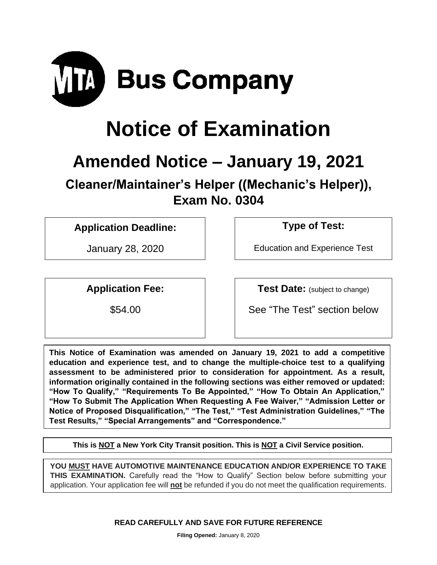

# **Notice of Examination**

## **Amended Notice – January 19, 2021**

**Cleaner/Maintainer's Helper ((Mechanic's Helper)), Exam No. 0304**

### **Application Deadline: Type of Test:**

January 28, 2020 Education and Experience Test

**Application Fee: Test Date:** (subject to change)

\$54.00 See "The Test" section below

**This Notice of Examination was amended on January 19, 2021 to add a competitive education and experience test, and to change the multiple-choice test to a qualifying assessment to be administered prior to consideration for appointment. As a result, information originally contained in the following sections was either removed or updated: "How To Qualify," "Requirements To Be Appointed," "How To Obtain An Application," "How To Submit The Application When Requesting A Fee Waiver," "Admission Letter or Notice of Proposed Disqualification," "The Test," "Test Administration Guidelines," "The Test Results," "Special Arrangements" and "Correspondence."**

**This is NOT a New York City Transit position. This is NOT a Civil Service position.**

**YOU MUST HAVE AUTOMOTIVE MAINTENANCE EDUCATION AND/OR EXPERIENCE TO TAKE THIS EXAMINATION.** Carefully read the "How to Qualify" Section below before submitting your application. Your application fee will **not** be refunded if you do not meet the qualification requirements.

**READ CAREFULLY AND SAVE FOR FUTURE REFERENCE**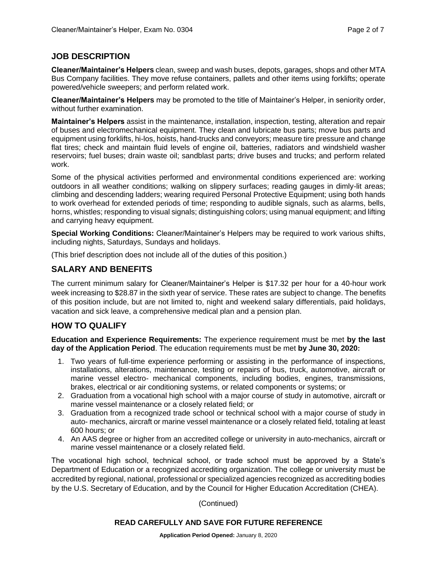#### **JOB DESCRIPTION**

**Cleaner/Maintainer's Helpers** clean, sweep and wash buses, depots, garages, shops and other MTA Bus Company facilities. They move refuse containers, pallets and other items using forklifts; operate powered/vehicle sweepers; and perform related work.

**Cleaner/Maintainer's Helpers** may be promoted to the title of Maintainer's Helper, in seniority order, without further examination.

**Maintainer's Helpers** assist in the maintenance, installation, inspection, testing, alteration and repair of buses and electromechanical equipment. They clean and lubricate bus parts; move bus parts and equipment using forklifts, hi-los, hoists, hand-trucks and conveyors; measure tire pressure and change flat tires; check and maintain fluid levels of engine oil, batteries, radiators and windshield washer reservoirs; fuel buses; drain waste oil; sandblast parts; drive buses and trucks; and perform related work.

Some of the physical activities performed and environmental conditions experienced are: working outdoors in all weather conditions; walking on slippery surfaces; reading gauges in dimly-lit areas; climbing and descending ladders; wearing required Personal Protective Equipment; using both hands to work overhead for extended periods of time; responding to audible signals, such as alarms, bells, horns, whistles; responding to visual signals; distinguishing colors; using manual equipment; and lifting and carrying heavy equipment.

**Special Working Conditions:** Cleaner/Maintainer's Helpers may be required to work various shifts, including nights, Saturdays, Sundays and holidays.

(This brief description does not include all of the duties of this position.)

#### **SALARY AND BENEFITS**

The current minimum salary for Cleaner/Maintainer's Helper is \$17.32 per hour for a 40-hour work week increasing to \$28.87 in the sixth year of service. These rates are subject to change. The benefits of this position include, but are not limited to, night and weekend salary differentials, paid holidays, vacation and sick leave, a comprehensive medical plan and a pension plan.

#### **HOW TO QUALIFY**

**Education and Experience Requirements:** The experience requirement must be met **by the last day of the Application Period**. The education requirements must be met **by June 30, 2020:**

- 1. Two years of full-time experience performing or assisting in the performance of inspections, installations, alterations, maintenance, testing or repairs of bus, truck, automotive, aircraft or marine vessel electro- mechanical components, including bodies, engines, transmissions, brakes, electrical or air conditioning systems, or related components or systems; or
- 2. Graduation from a vocational high school with a major course of study in automotive, aircraft or marine vessel maintenance or a closely related field; or
- 3. Graduation from a recognized trade school or technical school with a major course of study in auto- mechanics, aircraft or marine vessel maintenance or a closely related field, totaling at least 600 hours; or
- 4. An AAS degree or higher from an accredited college or university in auto-mechanics, aircraft or marine vessel maintenance or a closely related field.

The vocational high school, technical school, or trade school must be approved by a State's Department of Education or a recognized accrediting organization. The college or university must be accredited by regional, national, professional or specialized agencies recognized as accrediting bodies by the U.S. Secretary of Education, and by the Council for Higher Education Accreditation (CHEA).

(Continued)

#### **READ CAREFULLY AND SAVE FOR FUTURE REFERENCE**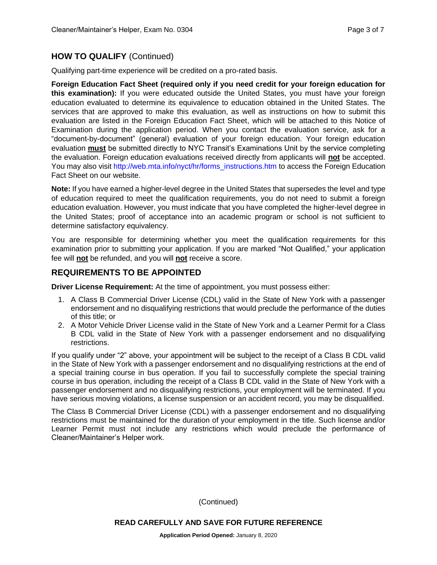#### **HOW TO QUALIFY** (Continued)

Qualifying part-time experience will be credited on a pro-rated basis.

**Foreign Education Fact Sheet (required only if you need credit for your foreign education for this examination):** If you were educated outside the United States, you must have your foreign education evaluated to determine its equivalence to education obtained in the United States. The services that are approved to make this evaluation, as well as instructions on how to submit this evaluation are listed in the Foreign Education Fact Sheet, which will be attached to this Notice of Examination during the application period. When you contact the evaluation service, ask for a "document-by-document" (general) evaluation of your foreign education. Your foreign education evaluation **must** be submitted directly to NYC Transit's Examinations Unit by the service completing the evaluation. Foreign education evaluations received directly from applicants will **not** be accepted. You may also visit [http://web.mta.info/nyct/hr/forms\\_instructions.htm](http://web.mta.info/nyct/hr/forms_instructions.htm) to access the Foreign Education Fact Sheet on our website.

**Note:** If you have earned a higher-level degree in the United States that supersedes the level and type of education required to meet the qualification requirements, you do not need to submit a foreign education evaluation. However, you must indicate that you have completed the higher-level degree in the United States; proof of acceptance into an academic program or school is not sufficient to determine satisfactory equivalency.

You are responsible for determining whether you meet the qualification requirements for this examination prior to submitting your application. If you are marked "Not Qualified," your application fee will **not** be refunded, and you will **not** receive a score.

#### **REQUIREMENTS TO BE APPOINTED**

**Driver License Requirement:** At the time of appointment, you must possess either:

- 1. A Class B Commercial Driver License (CDL) valid in the State of New York with a passenger endorsement and no disqualifying restrictions that would preclude the performance of the duties of this title; or
- 2. A Motor Vehicle Driver License valid in the State of New York and a Learner Permit for a Class B CDL valid in the State of New York with a passenger endorsement and no disqualifying restrictions.

If you qualify under "2" above, your appointment will be subject to the receipt of a Class B CDL valid in the State of New York with a passenger endorsement and no disqualifying restrictions at the end of a special training course in bus operation. If you fail to successfully complete the special training course in bus operation, including the receipt of a Class B CDL valid in the State of New York with a passenger endorsement and no disqualifying restrictions, your employment will be terminated. If you have serious moving violations, a license suspension or an accident record, you may be disqualified.

The Class B Commercial Driver License (CDL) with a passenger endorsement and no disqualifying restrictions must be maintained for the duration of your employment in the title. Such license and/or Learner Permit must not include any restrictions which would preclude the performance of Cleaner/Maintainer's Helper work.

(Continued)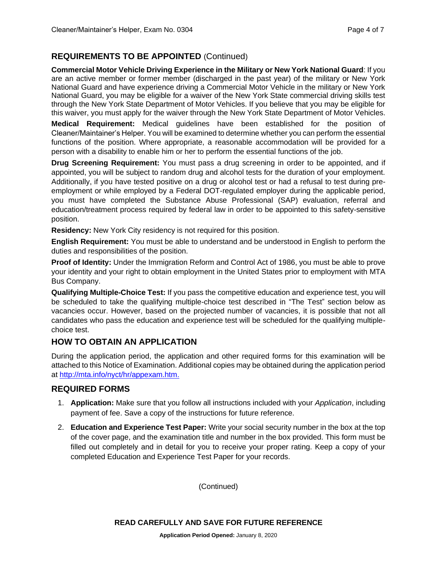#### **REQUIREMENTS TO BE APPOINTED** (Continued)

**Commercial Motor Vehicle Driving Experience in the Military or New York National Guard**: If you are an active member or former member (discharged in the past year) of the military or New York National Guard and have experience driving a Commercial Motor Vehicle in the military or New York National Guard, you may be eligible for a waiver of the New York State commercial driving skills test through the New York State Department of Motor Vehicles. If you believe that you may be eligible for this waiver, you must apply for the waiver through the New York State Department of Motor Vehicles.

**Medical Requirement:** Medical guidelines have been established for the position of Cleaner/Maintainer's Helper. You will be examined to determine whether you can perform the essential functions of the position. Where appropriate, a reasonable accommodation will be provided for a person with a disability to enable him or her to perform the essential functions of the job.

**Drug Screening Requirement:** You must pass a drug screening in order to be appointed, and if appointed, you will be subject to random drug and alcohol tests for the duration of your employment. Additionally, if you have tested positive on a drug or alcohol test or had a refusal to test during preemployment or while employed by a Federal DOT-regulated employer during the applicable period, you must have completed the Substance Abuse Professional (SAP) evaluation, referral and education/treatment process required by federal law in order to be appointed to this safety-sensitive position.

**Residency:** New York City residency is not required for this position.

**English Requirement:** You must be able to understand and be understood in English to perform the duties and responsibilities of the position.

**Proof of Identity:** Under the Immigration Reform and Control Act of 1986, you must be able to prove your identity and your right to obtain employment in the United States prior to employment with MTA Bus Company.

**Qualifying Multiple-Choice Test:** If you pass the competitive education and experience test, you will be scheduled to take the qualifying multiple-choice test described in "The Test" section below as vacancies occur. However, based on the projected number of vacancies, it is possible that not all candidates who pass the education and experience test will be scheduled for the qualifying multiplechoice test.

#### **HOW TO OBTAIN AN APPLICATION**

During the application period, the application and other required forms for this examination will be attached to this Notice of Examination. Additional copies may be obtained during the application period at<http://mta.info/nyct/hr/appexam.htm.>

#### **REQUIRED FORMS**

- 1. **Application:** Make sure that you follow all instructions included with your *Application*, including payment of fee. Save a copy of the instructions for future reference.
- 2. **Education and Experience Test Paper:** Write your social security number in the box at the top of the cover page, and the examination title and number in the box provided. This form must be filled out completely and in detail for you to receive your proper rating. Keep a copy of your completed Education and Experience Test Paper for your records.

(Continued)

**READ CAREFULLY AND SAVE FOR FUTURE REFERENCE**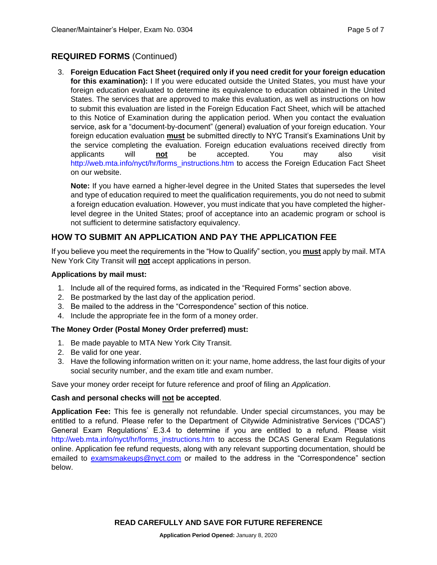#### **REQUIRED FORMS** (Continued)

3. **Foreign Education Fact Sheet (required only if you need credit for your foreign education for this examination):** I If you were educated outside the United States, you must have your foreign education evaluated to determine its equivalence to education obtained in the United States. The services that are approved to make this evaluation, as well as instructions on how to submit this evaluation are listed in the Foreign Education Fact Sheet, which will be attached to this Notice of Examination during the application period. When you contact the evaluation service, ask for a "document-by-document" (general) evaluation of your foreign education. Your foreign education evaluation **must** be submitted directly to NYC Transit's Examinations Unit by the service completing the evaluation. Foreign education evaluations received directly from applicants will **not** be accepted. You may also visit [http://web.mta.info/nyct/hr/forms\\_instructions.htm](http://web.mta.info/nyct/hr/forms_instructions.htm) to access the Foreign Education Fact Sheet on our website.

**Note:** If you have earned a higher-level degree in the United States that supersedes the level and type of education required to meet the qualification requirements, you do not need to submit a foreign education evaluation. However, you must indicate that you have completed the higherlevel degree in the United States; proof of acceptance into an academic program or school is not sufficient to determine satisfactory equivalency.

#### **HOW TO SUBMIT AN APPLICATION AND PAY THE APPLICATION FEE**

If you believe you meet the requirements in the "How to Qualify" section, you **must** apply by mail. MTA New York City Transit will **not** accept applications in person.

#### **Applications by mail must:**

- 1. Include all of the required forms, as indicated in the "Required Forms" section above.
- 2. Be postmarked by the last day of the application period.
- 3. Be mailed to the address in the "Correspondence" section of this notice.
- 4. Include the appropriate fee in the form of a money order.

#### **The Money Order (Postal Money Order preferred) must:**

- 1. Be made payable to MTA New York City Transit.
- 2. Be valid for one year.
- 3. Have the following information written on it: your name, home address, the last four digits of your social security number, and the exam title and exam number.

Save your money order receipt for future reference and proof of filing an *Application*.

#### **Cash and personal checks will not be accepted**.

**Application Fee:** This fee is generally not refundable. Under special circumstances, you may be entitled to a refund. Please refer to the Department of Citywide Administrative Services ("DCAS") General Exam Regulations' E.3.4 to determine if you are entitled to a refund. Please visit [http://web.mta.info/nyct/hr/forms\\_instructions.htm](http://web.mta.info/nyct/hr/forms_instructions.htm) to access the DCAS General Exam Regulations online. Application fee refund requests, along with any relevant supporting documentation, should be emailed to [examsmakeups@nyct.com](mailto:examsmakeups@nyct.com) or mailed to the address in the "Correspondence" section below.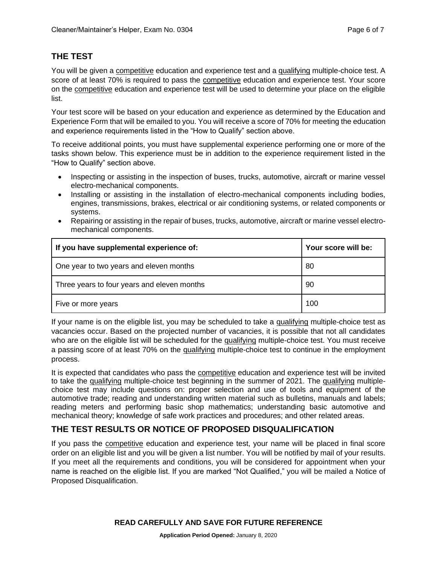#### **THE TEST**

You will be given a competitive education and experience test and a qualifying multiple-choice test. A score of at least 70% is required to pass the competitive education and experience test. Your score on the competitive education and experience test will be used to determine your place on the eligible list.

Your test score will be based on your education and experience as determined by the Education and Experience Form that will be emailed to you. You will receive a score of 70% for meeting the education and experience requirements listed in the "How to Qualify" section above.

To receive additional points, you must have supplemental experience performing one or more of the tasks shown below. This experience must be in addition to the experience requirement listed in the "How to Qualify" section above.

- Inspecting or assisting in the inspection of buses, trucks, automotive, aircraft or marine vessel electro-mechanical components.
- Installing or assisting in the installation of electro-mechanical components including bodies, engines, transmissions, brakes, electrical or air conditioning systems, or related components or systems.
- Repairing or assisting in the repair of buses, trucks, automotive, aircraft or marine vessel electromechanical components.

| If you have supplemental experience of:     | Your score will be: |
|---------------------------------------------|---------------------|
| One year to two years and eleven months     | 80                  |
| Three years to four years and eleven months | 90                  |
| Five or more years                          | 100                 |

If your name is on the eligible list, you may be scheduled to take a qualifying multiple-choice test as vacancies occur. Based on the projected number of vacancies, it is possible that not all candidates who are on the eligible list will be scheduled for the qualifying multiple-choice test. You must receive a passing score of at least 70% on the qualifying multiple-choice test to continue in the employment process.

It is expected that candidates who pass the competitive education and experience test will be invited to take the qualifying multiple-choice test beginning in the summer of 2021. The qualifying multiplechoice test may include questions on: proper selection and use of tools and equipment of the automotive trade; reading and understanding written material such as bulletins, manuals and labels; reading meters and performing basic shop mathematics; understanding basic automotive and mechanical theory; knowledge of safe work practices and procedures; and other related areas.

#### **THE TEST RESULTS OR NOTICE OF PROPOSED DISQUALIFICATION**

If you pass the competitive education and experience test, your name will be placed in final score order on an eligible list and you will be given a list number. You will be notified by mail of your results. If you meet all the requirements and conditions, you will be considered for appointment when your name is reached on the eligible list. If you are marked "Not Qualified," you will be mailed a Notice of Proposed Disqualification.